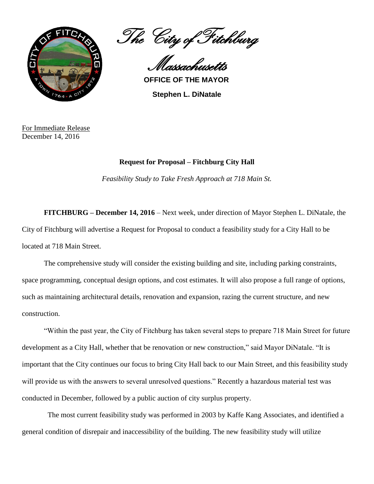

The City of Fitchburg

Massachusetts **OFFICE OF THE MAYOR**

**Stephen L. DiNatale**

For Immediate Release December 14, 2016

## **Request for Proposal – Fitchburg City Hall**

*Feasibility Study to Take Fresh Approach at 718 Main St.* 

**FITCHBURG – December 14, 2016** – Next week, under direction of Mayor Stephen L. DiNatale, the City of Fitchburg will advertise a Request for Proposal to conduct a feasibility study for a City Hall to be located at 718 Main Street.

The comprehensive study will consider the existing building and site, including parking constraints, space programming, conceptual design options, and cost estimates. It will also propose a full range of options, such as maintaining architectural details, renovation and expansion, razing the current structure, and new construction.

"Within the past year, the City of Fitchburg has taken several steps to prepare 718 Main Street for future development as a City Hall, whether that be renovation or new construction," said Mayor DiNatale. "It is important that the City continues our focus to bring City Hall back to our Main Street, and this feasibility study will provide us with the answers to several unresolved questions." Recently a hazardous material test was conducted in December, followed by a public auction of city surplus property.

 The most current feasibility study was performed in 2003 by Kaffe Kang Associates, and identified a general condition of disrepair and inaccessibility of the building. The new feasibility study will utilize